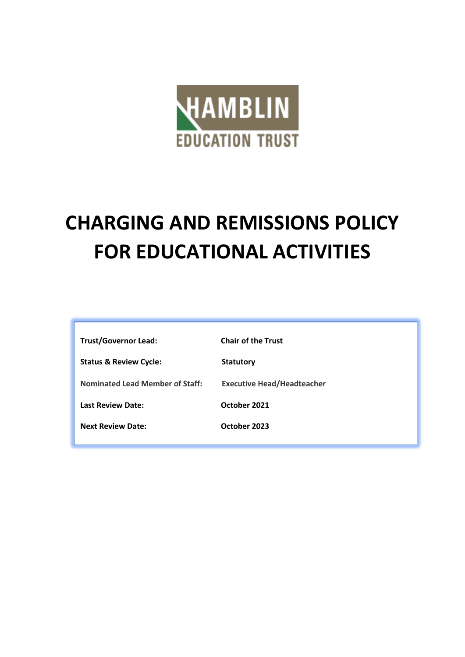

# **CHARGING AND REMISSIONS POLICY FOR EDUCATIONAL ACTIVITIES**

| <b>Trust/Governor Lead:</b>            | <b>Chair of the Trust</b>         |
|----------------------------------------|-----------------------------------|
| <b>Status &amp; Review Cycle:</b>      | <b>Statutory</b>                  |
| <b>Nominated Lead Member of Staff:</b> | <b>Executive Head/Headteacher</b> |
| <b>Last Review Date:</b>               | October 2021                      |
| <b>Next Review Date:</b>               | October 2023                      |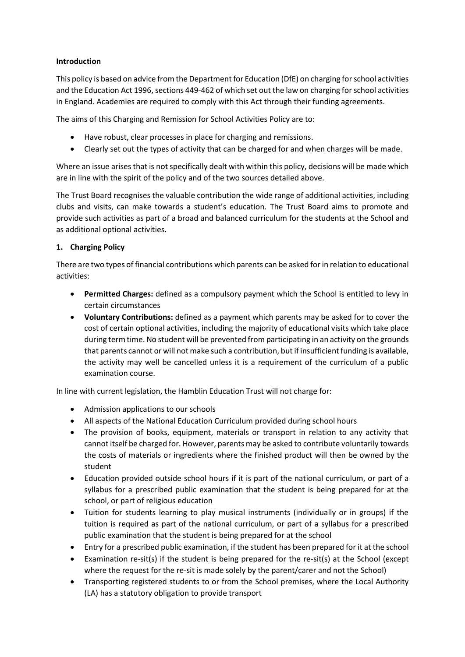## **Introduction**

This policy is based on advice from the Department for Education (DfE) on charging for school activities and the Education Act 1996, sections 449-462 of which set out the law on charging for school activities in England. Academies are required to comply with this Act through their funding agreements.

The aims of this Charging and Remission for School Activities Policy are to:

- Have robust, clear processes in place for charging and remissions.
- Clearly set out the types of activity that can be charged for and when charges will be made.

Where an issue arises that is not specifically dealt with within this policy, decisions will be made which are in line with the spirit of the policy and of the two sources detailed above.

The Trust Board recognises the valuable contribution the wide range of additional activities, including clubs and visits, can make towards a student's education. The Trust Board aims to promote and provide such activities as part of a broad and balanced curriculum for the students at the School and as additional optional activities.

## **1. Charging Policy**

There are two types of financial contributions which parents can be asked for in relation to educational activities:

- **Permitted Charges:** defined as a compulsory payment which the School is entitled to levy in certain circumstances
- **Voluntary Contributions:** defined as a payment which parents may be asked for to cover the cost of certain optional activities, including the majority of educational visits which take place during term time. No student will be prevented from participating in an activity on the grounds that parents cannot or will not make such a contribution, but if insufficient funding is available, the activity may well be cancelled unless it is a requirement of the curriculum of a public examination course.

In line with current legislation, the Hamblin Education Trust will not charge for:

- Admission applications to our schools
- All aspects of the National Education Curriculum provided during school hours
- The provision of books, equipment, materials or transport in relation to any activity that cannot itself be charged for. However, parents may be asked to contribute voluntarily towards the costs of materials or ingredients where the finished product will then be owned by the student
- Education provided outside school hours if it is part of the national curriculum, or part of a syllabus for a prescribed public examination that the student is being prepared for at the school, or part of religious education
- Tuition for students learning to play musical instruments (individually or in groups) if the tuition is required as part of the national curriculum, or part of a syllabus for a prescribed public examination that the student is being prepared for at the school
- Entry for a prescribed public examination, if the student has been prepared for it at the school
- Examination re-sit(s) if the student is being prepared for the re-sit(s) at the School (except where the request for the re-sit is made solely by the parent/carer and not the School)
- Transporting registered students to or from the School premises, where the Local Authority (LA) has a statutory obligation to provide transport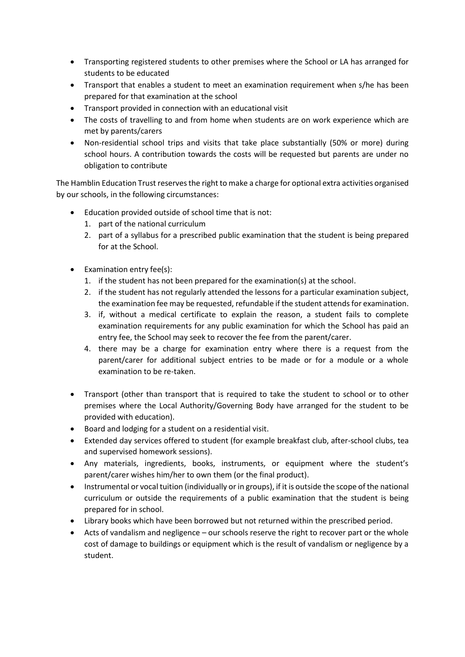- Transporting registered students to other premises where the School or LA has arranged for students to be educated
- Transport that enables a student to meet an examination requirement when s/he has been prepared for that examination at the school
- Transport provided in connection with an educational visit
- The costs of travelling to and from home when students are on work experience which are met by parents/carers
- Non-residential school trips and visits that take place substantially (50% or more) during school hours. A contribution towards the costs will be requested but parents are under no obligation to contribute

The Hamblin Education Trust reserves the right to make a charge for optional extra activities organised by our schools, in the following circumstances:

- Education provided outside of school time that is not:
	- 1. part of the national curriculum
	- 2. part of a syllabus for a prescribed public examination that the student is being prepared for at the School.
- Examination entry fee(s):
	- 1. if the student has not been prepared for the examination(s) at the school.
	- 2. if the student has not regularly attended the lessons for a particular examination subject, the examination fee may be requested, refundable if the student attends for examination.
	- 3. if, without a medical certificate to explain the reason, a student fails to complete examination requirements for any public examination for which the School has paid an entry fee, the School may seek to recover the fee from the parent/carer.
	- 4. there may be a charge for examination entry where there is a request from the parent/carer for additional subject entries to be made or for a module or a whole examination to be re-taken.
- Transport (other than transport that is required to take the student to school or to other premises where the Local Authority/Governing Body have arranged for the student to be provided with education).
- Board and lodging for a student on a residential visit.
- Extended day services offered to student (for example breakfast club, after-school clubs, tea and supervised homework sessions).
- Any materials, ingredients, books, instruments, or equipment where the student's parent/carer wishes him/her to own them (or the final product).
- Instrumental or vocal tuition (individually or in groups), if it is outside the scope of the national curriculum or outside the requirements of a public examination that the student is being prepared for in school.
- Library books which have been borrowed but not returned within the prescribed period.
- Acts of vandalism and negligence our schools reserve the right to recover part or the whole cost of damage to buildings or equipment which is the result of vandalism or negligence by a student.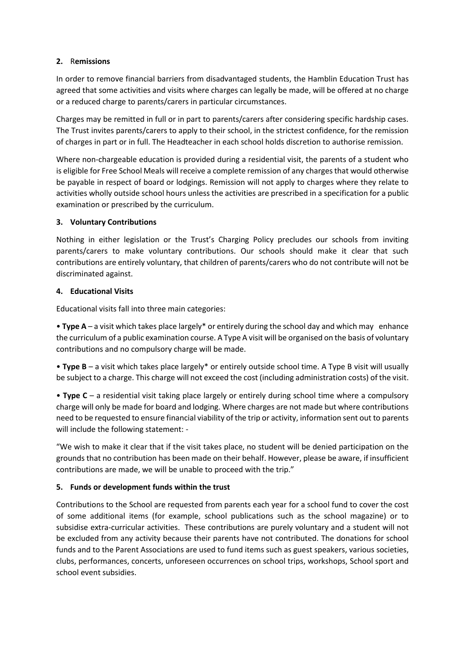## **2.** R**emissions**

In order to remove financial barriers from disadvantaged students, the Hamblin Education Trust has agreed that some activities and visits where charges can legally be made, will be offered at no charge or a reduced charge to parents/carers in particular circumstances.

Charges may be remitted in full or in part to parents/carers after considering specific hardship cases. The Trust invites parents/carers to apply to their school, in the strictest confidence, for the remission of charges in part or in full. The Headteacher in each school holds discretion to authorise remission.

Where non-chargeable education is provided during a residential visit, the parents of a student who is eligible for Free School Meals will receive a complete remission of any charges that would otherwise be payable in respect of board or lodgings. Remission will not apply to charges where they relate to activities wholly outside school hours unless the activities are prescribed in a specification for a public examination or prescribed by the curriculum.

#### **3. Voluntary Contributions**

Nothing in either legislation or the Trust's Charging Policy precludes our schools from inviting parents/carers to make voluntary contributions. Our schools should make it clear that such contributions are entirely voluntary, that children of parents/carers who do not contribute will not be discriminated against.

#### **4. Educational Visits**

Educational visits fall into three main categories:

• **Type A** – a visit which takes place largely\* or entirely during the school day and which may enhance the curriculum of a public examination course. A Type A visit will be organised on the basis of voluntary contributions and no compulsory charge will be made.

• **Type B** – a visit which takes place largely\* or entirely outside school time. A Type B visit will usually be subject to a charge. This charge will not exceed the cost (including administration costs) of the visit.

• **Type C** – a residential visit taking place largely or entirely during school time where a compulsory charge will only be made for board and lodging. Where charges are not made but where contributions need to be requested to ensure financial viability of the trip or activity, information sent out to parents will include the following statement: -

"We wish to make it clear that if the visit takes place, no student will be denied participation on the grounds that no contribution has been made on their behalf. However, please be aware, if insufficient contributions are made, we will be unable to proceed with the trip."

## **5. Funds or development funds within the trust**

Contributions to the School are requested from parents each year for a school fund to cover the cost of some additional items (for example, school publications such as the school magazine) or to subsidise extra-curricular activities. These contributions are purely voluntary and a student will not be excluded from any activity because their parents have not contributed. The donations for school funds and to the Parent Associations are used to fund items such as guest speakers, various societies, clubs, performances, concerts, unforeseen occurrences on school trips, workshops, School sport and school event subsidies.